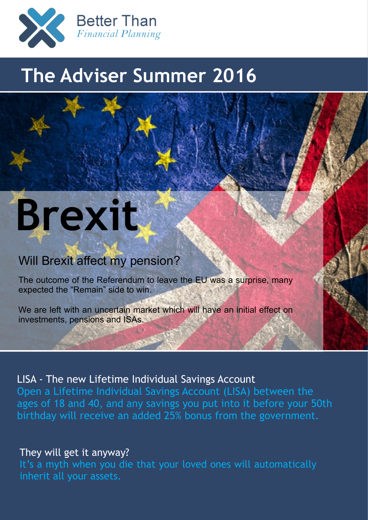

# **The Adviser Summer 2016**

# **Brexit**

# Will Brexit affect my pension?

The outcome of the Referendum to leave the EU was a surprise, many expected the "Remain" side to win.

We are left with an uncertain market which will have an initial effect on investments, pensions and ISAs.

## LISA - The new Lifetime Individual Savings Account

Open a Lifetime Individual Savings Account (LISA) between the ages of 18 and 40, and any savings you put into it before your 50th birthday will receive an added 25% bonus from the government.

### They will get it anyway?

It's a myth when you die that your loved ones will automatically inherit all your assets.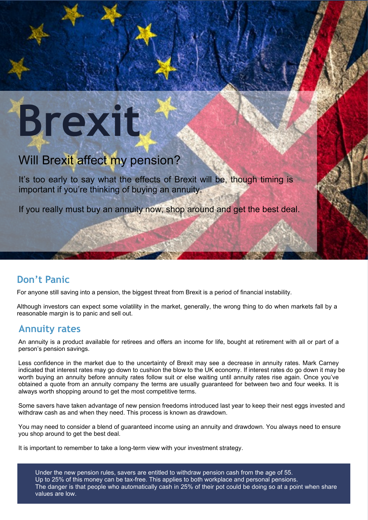# **Brexit**

# Will Brexit affect my pension?

It's too early to say what the effects of Brexit will be, though timing is important if you're thinking of buying an annuity.

If you really must buy an annuity now, shop around and get the best deal.

## **Don't Panic**

For anyone still saving into a pension, the biggest threat from Brexit is a period of financial instability.

Although investors can expect some volatility in the market, generally, the wrong thing to do when markets fall by a reasonable margin is to panic and sell out.

### **Annuity rates**

An annuity is a product available for retirees and offers an income for life, bought at retirement with all or part of a person's pension savings.

Less confidence in the market due to the uncertainty of Brexit may see a decrease in annuity rates. Mark Carney indicated that interest rates may go down to cushion the blow to the UK economy. If interest rates do go down it may be worth buying an annuity before annuity rates follow suit or else waiting until annuity rates rise again. Once you've obtained a quote from an annuity company the terms are usually guaranteed for between two and four weeks. It is always worth shopping around to get the most competitive terms.

Some savers have taken advantage of new pension freedoms introduced last year to keep their nest eggs invested and withdraw cash as and when they need. This process is known as drawdown.

You may need to consider a blend of guaranteed income using an annuity and drawdown. You always need to ensure you shop around to get the best deal.

It is important to remember to take a long-term view with your investment strategy.

Under the new pension rules, savers are entitled to withdraw pension cash from the age of 55. Up to 25% of this money can be tax-free. This applies to both workplace and personal pensions. The danger is that people who automatically cash in 25% of their pot could be doing so at a point when share values are low.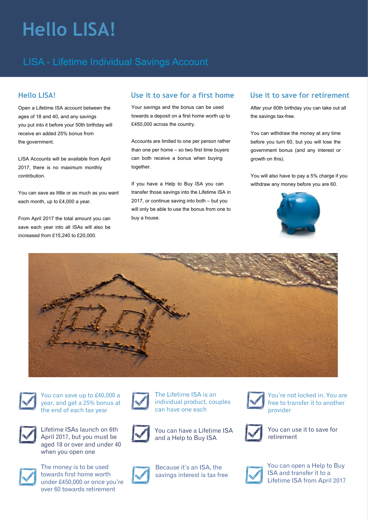# **Hello LISA!**

# LISA - Lifetime Individual Savings Account

### **Hello LISA!**

Open a Lifetime ISA account between the ages of 18 and 40, and any savings you put into it before your 50th birthday will receive an added 25% bonus from the government.

LISA Accounts will be available from April 2017, there is no maximum monthly contribution.

You can save as little or as much as you want each month, up to £4,000 a year.

From April 2017 the total amount you can save each year into all ISAs will also be increased from  $f15,240$  to  $f20,000$ .

#### **Use it to save for a first home**

Your savings and the bonus can be used towards a deposit on a first home worth up to £450,000 across the country.

Accounts are limited to one per person rather than one per home – so two first time buyers can both receive a bonus when buying together.

If you have a Help to Buy ISA you can transfer those savings into the Lifetime ISA in 2017, or continue saving into both – but you will only be able to use the bonus from one to buy a house.

### **Use it to save for retirement**

After your 60th birthday you can take out all the savings tax-free.

You can withdraw the money at any time before you turn 60, but you will lose the government bonus (and any interest or growth on this).

You will also have to pay a 5% charge if you withdraw any money before you are 60.







You can save up to £40,000 a year, and get a 25% bonus at the end of each tax year



Lifetime ISAs launch on 6th April 2017, but you must be aged 18 or over and under 40 when you open one



The money is to be used towards first home worth under £450,000 or once you're over 60 towards retirement



The Lifetime ISA is an individual product, couples can have one each



You can have a Lifetime ISA and a Help to Buy ISA



Because it's an ISA, the savings interest is tax free



You're not locked in. You are free to transfer it to another provider



You can use it to save for retirement



You can open a Help to Buy ISA and transfer it to a Lifetime ISA from April 2017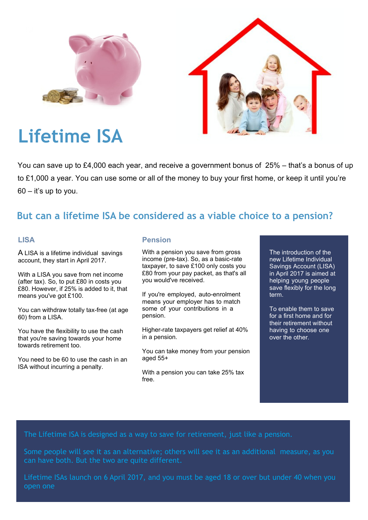



# **Lifetime ISA**

You can save up to £4,000 each year, and receive a government bonus of 25% – that's a bonus of up to £1,000 a year. You can use some or all of the money to buy your first home, or keep it until you're  $60 - it's$  up to you.

# **But can a lifetime ISA be considered as a viable choice to a pension?**

#### **LISA**

A LISA is a lifetime individual savings account, they start in April 2017.

With a LISA you save from net income (after tax). So, to put £80 in costs you £80. However, if 25% is added to it, that means you've got £100.

You can withdraw totally tax-free (at age 60) from a LISA.

You have the flexibility to use the cash that you're saving towards your home towards retirement too.

You need to be 60 to use the cash in an ISA without incurring a penalty.

#### **Pension**

With a pension you save from gross income (pre-tax). So, as a basic-rate taxpayer, to save £100 only costs you £80 from your pay packet, as that's all you would've received.

If you're employed, auto-enrolment means your employer has to match some of your contributions in a pension.

Higher-rate taxpayers get relief at 40% in a pension.

You can take money from your pension aged 55+

With a pension you can take 25% tax free.

The introduction of the new Lifetime Individual Savings Account (LISA) in April 2017 is aimed at helping young people save flexibly for the long term.

To enable them to save for a first home and for their retirement without having to choose one over the other.

Some people will see it as an alternative; others will see it as an additional measure, as you can have both. But the two are quite different.

Lifetime ISAs launch on 6 April 2017, and you must be aged 18 or over but under 40 when you open one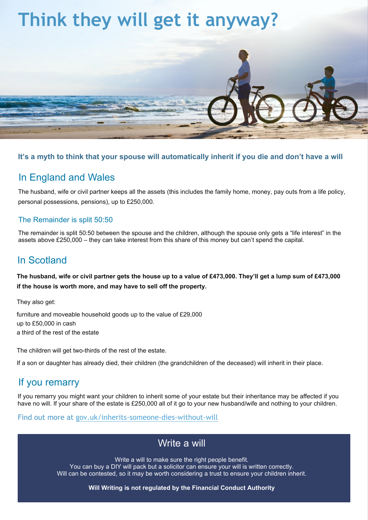# **Think they will get it anyway?**



#### **It's a myth to think that your spouse will automatically inherit if you die and don't have a will**

### In England and Wales

The husband, wife or civil partner keeps all the assets (this includes the family home, money, pay outs from a life policy, personal possessions, pensions), up to £250,000.

#### The Remainder is split 50:50

The remainder is split 50:50 between the spouse and the children, although the spouse only gets a "life interest" in the assets above £250,000 – they can take interest from this share of this money but can't spend the capital.

# In Scotland

**The husband, wife or civil partner gets the house up to a value of £473,000. They'll get a lump sum of £473,000 if the house is worth more, and may have to sell off the property.**

They also get:

furniture and moveable household goods up to the value of £29,000 up to £50,000 in cash a third of the rest of the estate

The children will get two-thirds of the rest of the estate.

If a son or daughter has already died, their children (the grandchildren of the deceased) will inherit in their place.

## If you remarry

If you remarry you might want your children to inherit some of your estate but their inheritance may be affected if you have no will. If your share of the estate is £250,000 all of it go to your new husband/wife and nothing to your children.

Find out more at [gov.uk/inherits-someone-dies-without-will](http://gov.uk/inherits-someone-dies-without-will)

## Write a will

Write a will to make sure the right people benefit.

You can buy a DIY will pack but a solicitor can ensure your will is written correctly. Will can be contested, so it may be worth considering a trust to ensure your children inherit.

**Will Writing is not regulated by the Financial Conduct Authority**